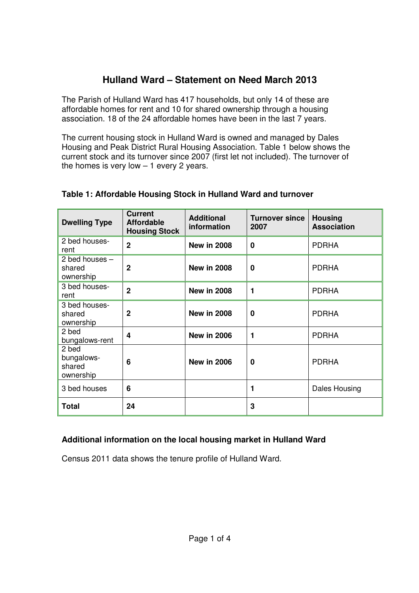# **Hulland Ward – Statement on Need March 2013**

 The Parish of Hulland Ward has 417 households, but only 14 of these are affordable homes for rent and 10 for shared ownership through a housing association. 18 of the 24 affordable homes have been in the last 7 years.

 The current housing stock in Hulland Ward is owned and managed by Dales Housing and Peak District Rural Housing Association. Table 1 below shows the current stock and its turnover since 2007 (first let not included). The turnover of the homes is very low – 1 every 2 years.

| <b>Dwelling Type</b>                       | <b>Current</b><br><b>Affordable</b><br><b>Housing Stock</b> | <b>Additional</b><br>information | <b>Turnover since</b><br>2007 | <b>Housing</b><br><b>Association</b> |
|--------------------------------------------|-------------------------------------------------------------|----------------------------------|-------------------------------|--------------------------------------|
| 2 bed houses-<br>rent                      | $\overline{2}$                                              | <b>New in 2008</b>               | $\mathbf 0$                   | <b>PDRHA</b>                         |
| 2 bed houses $-$<br>shared<br>ownership    | $\mathbf{2}$                                                | <b>New in 2008</b>               | 0                             | <b>PDRHA</b>                         |
| 3 bed houses-<br>rent                      | $\overline{2}$                                              | <b>New in 2008</b>               | 1                             | <b>PDRHA</b>                         |
| 3 bed houses-<br>shared<br>ownership       | $\mathbf{2}$                                                | <b>New in 2008</b>               | 0                             | <b>PDRHA</b>                         |
| 2 bed<br>bungalows-rent                    | 4                                                           | <b>New in 2006</b>               | 1                             | <b>PDRHA</b>                         |
| 2 bed<br>bungalows-<br>shared<br>ownership | 6                                                           | <b>New in 2006</b>               | 0                             | <b>PDRHA</b>                         |
| 3 bed houses                               | 6                                                           |                                  |                               | <b>Dales Housing</b>                 |
| <b>Total</b>                               | 24                                                          |                                  | 3                             |                                      |

## **Table 1: Affordable Housing Stock in Hulland Ward and turnover**

## **Additional information on the local housing market in Hulland Ward**

Census 2011 data shows the tenure profile of Hulland Ward.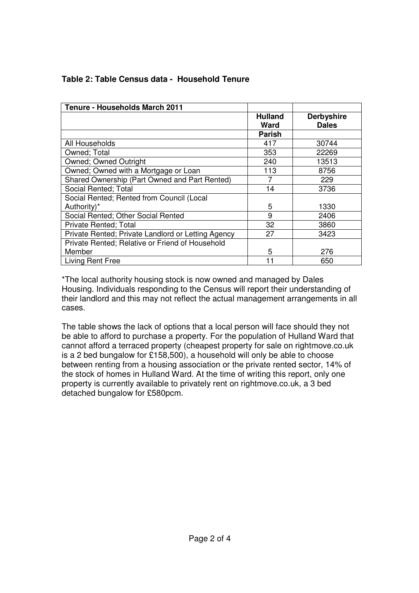| <b>Tenure - Households March 2011</b>              |                        |                                   |
|----------------------------------------------------|------------------------|-----------------------------------|
|                                                    | <b>Hulland</b><br>Ward | <b>Derbyshire</b><br><b>Dales</b> |
|                                                    | <b>Parish</b>          |                                   |
| All Households                                     | 417                    | 30744                             |
| Owned; Total                                       | 353                    | 22269                             |
| Owned; Owned Outright                              | 240                    | 13513                             |
| Owned; Owned with a Mortgage or Loan               | 113                    | 8756                              |
| Shared Ownership (Part Owned and Part Rented)      |                        | 229                               |
| Social Rented; Total                               | 14                     | 3736                              |
| Social Rented; Rented from Council (Local          |                        |                                   |
| Authority)*                                        | 5                      | 1330                              |
| Social Rented: Other Social Rented                 | 9                      | 2406                              |
| Private Rented; Total                              | 32                     | 3860                              |
| Private Rented; Private Landlord or Letting Agency | 27                     | 3423                              |
| Private Rented; Relative or Friend of Household    |                        |                                   |
| Member                                             | 5                      | 276                               |
| <b>Living Rent Free</b>                            | 11                     | 650                               |

# **Table 2: Table Census data - Household Tenure**

 \*The local authority housing stock is now owned and managed by Dales Housing. Individuals responding to the Census will report their understanding of their landlord and this may not reflect the actual management arrangements in all cases.

 The table shows the lack of options that a local person will face should they not be able to afford to purchase a property. For the population of Hulland Ward that cannot afford a terraced property (cheapest property for sale on [rightmove.co.uk](https://rightmove.co.uk)  is a 2 bed bungalow for £158,500), a household will only be able to choose between renting from a housing association or the private rented sector, 14% of the stock of homes in Hulland Ward. At the time of writing this report, only one property is currently available to privately rent on [rightmove.co.uk,](https://rightmove.co.uk) a 3 bed detached bungalow for £580pcm.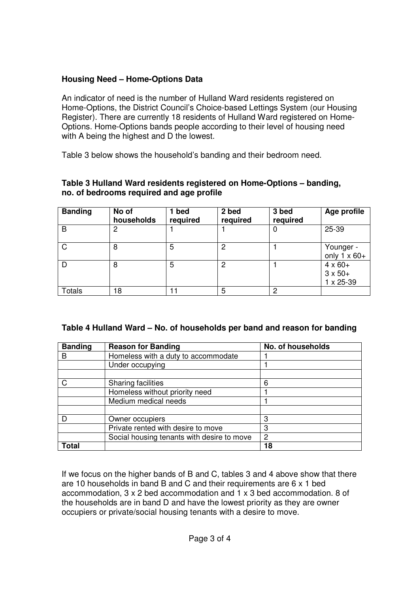#### **Housing Need – Home-Options Data**

 An indicator of need is the number of Hulland Ward residents registered on Home-Options, the District Council's Choice-based Lettings System (our Housing Register). There are currently 18 residents of Hulland Ward registered on Home- Options. Home-Options bands people according to their level of housing need with A being the highest and D the lowest.

Table 3 below shows the household's banding and their bedroom need.

#### **Table 3 Hulland Ward residents registered on Home-Options – banding, no. of bedrooms required and age profile**

| <b>Banding</b> | No of<br>households | 1 bed<br>required | 2 bed<br>required | 3 bed<br>required | Age profile                                            |
|----------------|---------------------|-------------------|-------------------|-------------------|--------------------------------------------------------|
| B              | 2                   |                   |                   | 0                 | 25-39                                                  |
| $\mathsf{C}$   | 8                   | 5                 | 2                 |                   | Younger -<br>only $1 \times 60+$                       |
| D              | 8                   | 5                 | 2                 |                   | $4 \times 60+$<br>$3 \times 50+$<br>$1 \times 25 - 39$ |
| Totals         | 18                  |                   | 5                 | ♪                 |                                                        |

#### **Table 4 Hulland Ward – No. of households per band and reason for banding**

| <b>Banding</b> | <b>Reason for Banding</b>                  | No. of households |
|----------------|--------------------------------------------|-------------------|
| в              | Homeless with a duty to accommodate        |                   |
|                | Under occupying                            |                   |
|                |                                            |                   |
|                | <b>Sharing facilities</b>                  | 6                 |
|                | Homeless without priority need             |                   |
|                | Medium medical needs                       |                   |
|                |                                            |                   |
|                | Owner occupiers                            | З                 |
|                | Private rented with desire to move         | З                 |
|                | Social housing tenants with desire to move | 2                 |
| Total          |                                            | 18                |

 If we focus on the higher bands of B and C, tables 3 and 4 above show that there are 10 households in band B and C and their requirements are 6 x 1 bed accommodation, 3 x 2 bed accommodation and 1 x 3 bed accommodation. 8 of the households are in band D and have the lowest priority as they are owner occupiers or private/social housing tenants with a desire to move.